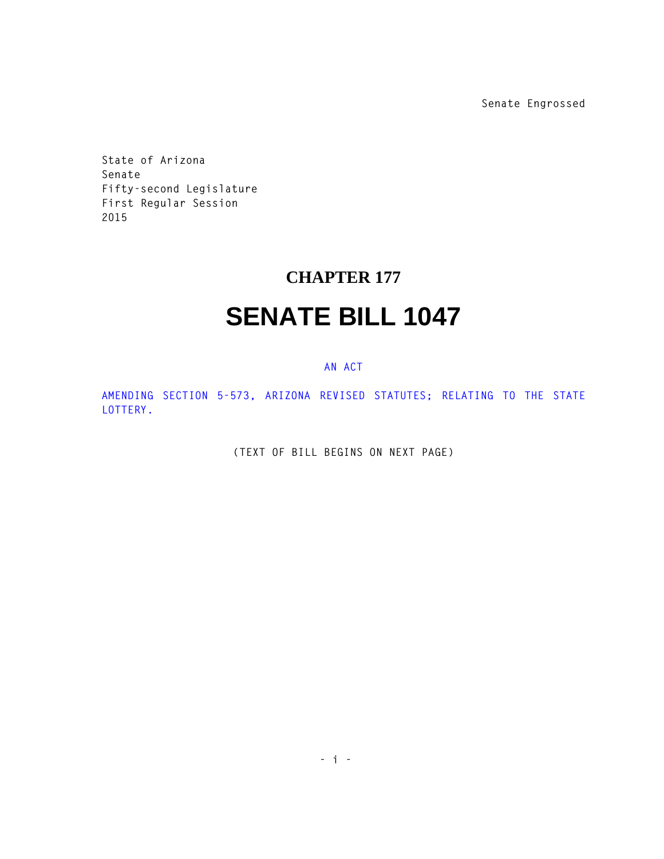**Senate Engrossed**

**State of Arizona Senate Fifty-second Legislature First Regular Session 2015** 

## **CHAPTER 177**

## **SENATE BILL 1047**

## **AN ACT**

**AMENDING SECTION 5-573, ARIZONA REVISED STATUTES; RELATING TO THE STATE LOTTERY.** 

**(TEXT OF BILL BEGINS ON NEXT PAGE)**